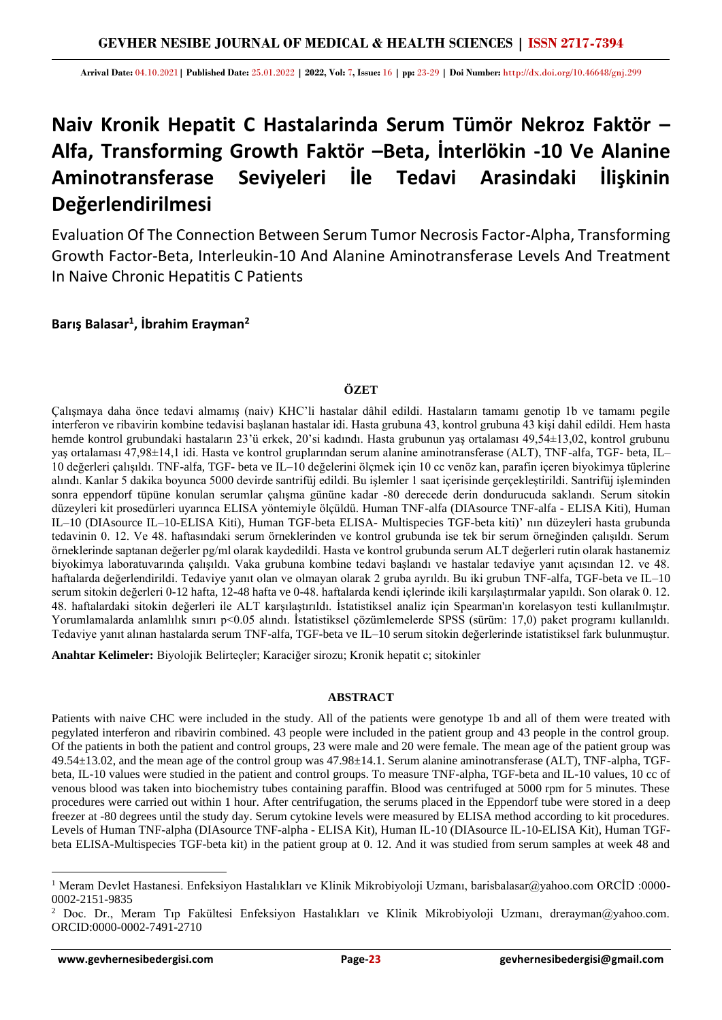**Arrival Date:** 04.10.2021**| Published Date:** 25.01.2022 **| 2022, Vol:** 7**, Issue:** 16 **| pp:** 23-29 **| Doi Number:** http://dx.doi.org/10.46648/gnj.299

# **Naiv Kronik Hepatit C Hastalarinda Serum Tümör Nekroz Faktör – Alfa, Transforming Growth Faktör –Beta, İnterlökin -10 Ve Alanine Aminotransferase Seviyeleri İle Tedavi Arasindaki İlişkinin Değerlendirilmesi**

Evaluation Of The Connection Between Serum Tumor Necrosis Factor-Alpha, Transforming Growth Factor-Beta, Interleukin-10 And Alanine Aminotransferase Levels And Treatment In Naive Chronic Hepatitis C Patients

**Barış Balasar<sup>1</sup> , İbrahim Erayman<sup>2</sup>**

# **ÖZET**

Çalışmaya daha önce tedavi almamış (naiv) KHC'li hastalar dâhil edildi. Hastaların tamamı genotip 1b ve tamamı pegile interferon ve ribavirin kombine tedavisi başlanan hastalar idi. Hasta grubuna 43, kontrol grubuna 43 kişi dahil edildi. Hem hasta hemde kontrol grubundaki hastaların 23'ü erkek, 20'si kadındı. Hasta grubunun yaş ortalaması 49,54±13,02, kontrol grubunu yaş ortalaması 47,98±14,1 idi. Hasta ve kontrol gruplarından serum alanine aminotransferase (ALT), TNF-alfa, TGF- beta, IL– 10 değerleri çalışıldı. TNF-alfa, TGF- beta ve IL–10 değelerini ölçmek için 10 cc venöz kan, parafin içeren biyokimya tüplerine alındı. Kanlar 5 dakika boyunca 5000 devirde santrifüj edildi. Bu işlemler 1 saat içerisinde gerçekleştirildi. Santrifüj işleminden sonra eppendorf tüpüne konulan serumlar çalışma gününe kadar -80 derecede derin dondurucuda saklandı. Serum sitokin düzeyleri kit prosedürleri uyarınca ELISA yöntemiyle ölçüldü. Human TNF-alfa (DIAsource TNF-alfa - ELISA Kiti), Human IL–10 (DIAsource IL–10-ELISA Kiti), Human TGF-beta ELISA- Multispecies TGF-beta kiti)' nın düzeyleri hasta grubunda tedavinin 0. 12. Ve 48. haftasındaki serum örneklerinden ve kontrol grubunda ise tek bir serum örneğinden çalışıldı. Serum örneklerinde saptanan değerler pg/ml olarak kaydedildi. Hasta ve kontrol grubunda serum ALT değerleri rutin olarak hastanemiz biyokimya laboratuvarında çalışıldı. Vaka grubuna kombine tedavi başlandı ve hastalar tedaviye yanıt açısından 12. ve 48. haftalarda değerlendirildi. Tedaviye yanıt olan ve olmayan olarak 2 gruba ayrıldı. Bu iki grubun TNF-alfa, TGF-beta ve IL–10 serum sitokin değerleri 0-12 hafta, 12-48 hafta ve 0-48. haftalarda kendi içlerinde ikili karşılaştırmalar yapıldı. Son olarak 0. 12. 48. haftalardaki sitokin değerleri ile ALT karşılaştırıldı. İstatistiksel analiz için Spearman'ın korelasyon testi kullanılmıştır. Yorumlamalarda anlamlılık sınırı p<0.05 alındı. İstatistiksel çözümlemelerde SPSS (sürüm: 17,0) paket programı kullanıldı. Tedaviye yanıt alınan hastalarda serum TNF-alfa, TGF-beta ve IL–10 serum sitokin değerlerinde istatistiksel fark bulunmuştur.

**Anahtar Kelimeler:** Biyolojik Belirteçler; Karaciğer sirozu; Kronik hepatit c; sitokinler

## **ABSTRACT**

Patients with naive CHC were included in the study. All of the patients were genotype 1b and all of them were treated with pegylated interferon and ribavirin combined. 43 people were included in the patient group and 43 people in the control group. Of the patients in both the patient and control groups, 23 were male and 20 were female. The mean age of the patient group was 49.54±13.02, and the mean age of the control group was 47.98±14.1. Serum alanine aminotransferase (ALT), TNF-alpha, TGFbeta, IL-10 values were studied in the patient and control groups. To measure TNF-alpha, TGF-beta and IL-10 values, 10 cc of venous blood was taken into biochemistry tubes containing paraffin. Blood was centrifuged at 5000 rpm for 5 minutes. These procedures were carried out within 1 hour. After centrifugation, the serums placed in the Eppendorf tube were stored in a deep freezer at -80 degrees until the study day. Serum cytokine levels were measured by ELISA method according to kit procedures. Levels of Human TNF-alpha (DIAsource TNF-alpha - ELISA Kit), Human IL-10 (DIAsource IL-10-ELISA Kit), Human TGFbeta ELISA-Multispecies TGF-beta kit) in the patient group at 0. 12. And it was studied from serum samples at week 48 and

<sup>1</sup> Meram Devlet Hastanesi. Enfeksiyon Hastalıkları ve Klinik Mikrobiyoloji Uzmanı, barisbalasar@yahoo.com ORCİD :0000- 0002-2151-9835

<sup>&</sup>lt;sup>2</sup> Doc. Dr., Meram Tıp Fakültesi Enfeksiyon Hastalıkları ve Klinik Mikrobiyoloji Uzmanı, drerayman@yahoo.com. ORCID:0000-0002-7491-2710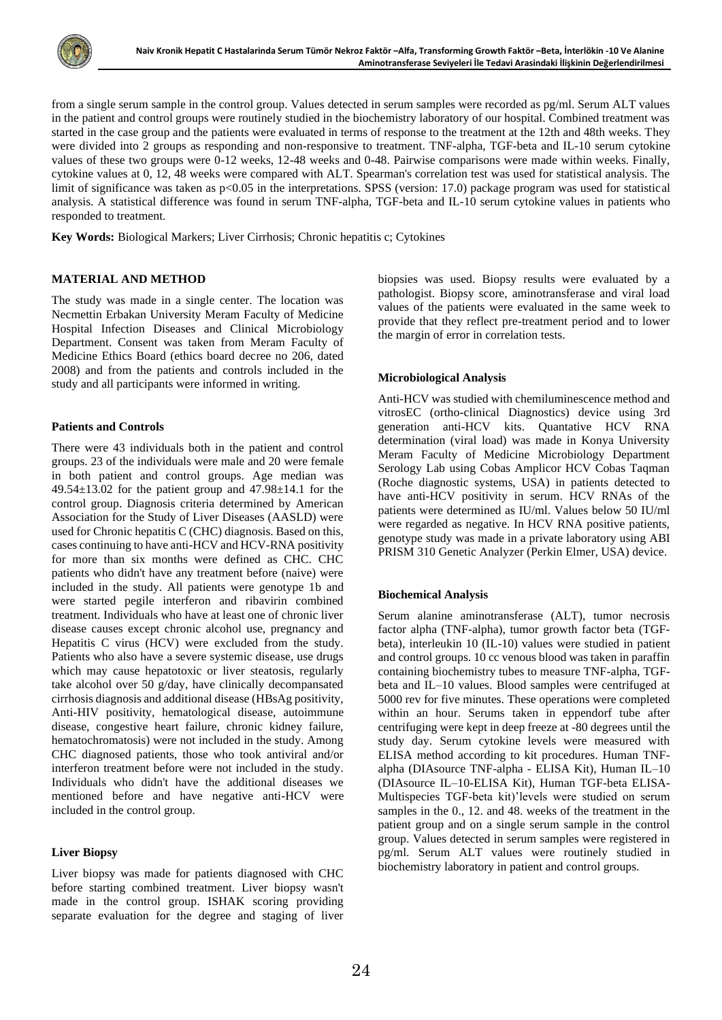

from a single serum sample in the control group. Values detected in serum samples were recorded as pg/ml. Serum ALT values in the patient and control groups were routinely studied in the biochemistry laboratory of our hospital. Combined treatment was started in the case group and the patients were evaluated in terms of response to the treatment at the 12th and 48th weeks. They were divided into 2 groups as responding and non-responsive to treatment. TNF-alpha, TGF-beta and IL-10 serum cytokine values of these two groups were 0-12 weeks, 12-48 weeks and 0-48. Pairwise comparisons were made within weeks. Finally, cytokine values at 0, 12, 48 weeks were compared with ALT. Spearman's correlation test was used for statistical analysis. The limit of significance was taken as p<0.05 in the interpretations. SPSS (version: 17.0) package program was used for statistical analysis. A statistical difference was found in serum TNF-alpha, TGF-beta and IL-10 serum cytokine values in patients who responded to treatment.

**Key Words:** Biological Markers; Liver Cirrhosis; Chronic hepatitis c; Cytokines

## **MATERIAL AND METHOD**

The study was made in a single center. The location was Necmettin Erbakan University Meram Faculty of Medicine Hospital Infection Diseases and Clinical Microbiology Department. Consent was taken from Meram Faculty of Medicine Ethics Board (ethics board decree no 206, dated 2008) and from the patients and controls included in the study and all participants were informed in writing.

## **Patients and Controls**

There were 43 individuals both in the patient and control groups. 23 of the individuals were male and 20 were female in both patient and control groups. Age median was  $49.54\pm13.02$  for the patient group and  $47.98\pm14.1$  for the control group. Diagnosis criteria determined by American Association for the Study of Liver Diseases (AASLD) were used for Chronic hepatitis C (CHC) diagnosis. Based on this, cases continuing to have anti-HCV and HCV-RNA positivity for more than six months were defined as CHC. CHC patients who didn't have any treatment before (naive) were included in the study. All patients were genotype 1b and were started pegile interferon and ribavirin combined treatment. Individuals who have at least one of chronic liver disease causes except chronic alcohol use, pregnancy and Hepatitis C virus (HCV) were excluded from the study. Patients who also have a severe systemic disease, use drugs which may cause hepatotoxic or liver steatosis, regularly take alcohol over 50 g/day, have clinically decompansated cirrhosis diagnosis and additional disease (HBsAg positivity, Anti-HIV positivity, hematological disease, autoimmune disease, congestive heart failure, chronic kidney failure, hematochromatosis) were not included in the study. Among CHC diagnosed patients, those who took antiviral and/or interferon treatment before were not included in the study. Individuals who didn't have the additional diseases we mentioned before and have negative anti-HCV were included in the control group.

## **Liver Biopsy**

Liver biopsy was made for patients diagnosed with CHC before starting combined treatment. Liver biopsy wasn't made in the control group. ISHAK scoring providing separate evaluation for the degree and staging of liver biopsies was used. Biopsy results were evaluated by a pathologist. Biopsy score, aminotransferase and viral load values of the patients were evaluated in the same week to provide that they reflect pre-treatment period and to lower the margin of error in correlation tests.

## **Microbiological Analysis**

Anti-HCV was studied with chemiluminescence method and vitrosEC (ortho-clinical Diagnostics) device using 3rd generation anti-HCV kits. Quantative HCV RNA determination (viral load) was made in Konya University Meram Faculty of Medicine Microbiology Department Serology Lab using Cobas Amplicor HCV Cobas Taqman (Roche diagnostic systems, USA) in patients detected to have anti-HCV positivity in serum. HCV RNAs of the patients were determined as IU/ml. Values below 50 IU/ml were regarded as negative. In HCV RNA positive patients, genotype study was made in a private laboratory using ABI PRISM 310 Genetic Analyzer (Perkin Elmer, USA) device.

## **Biochemical Analysis**

Serum alanine aminotransferase (ALT), tumor necrosis factor alpha (TNF-alpha), tumor growth factor beta (TGFbeta), interleukin 10 (IL-10) values were studied in patient and control groups. 10 cc venous blood was taken in paraffin containing biochemistry tubes to measure TNF-alpha, TGFbeta and IL–10 values. Blood samples were centrifuged at 5000 rev for five minutes. These operations were completed within an hour. Serums taken in eppendorf tube after centrifuging were kept in deep freeze at -80 degrees until the study day. Serum cytokine levels were measured with ELISA method according to kit procedures. Human TNFalpha (DIAsource TNF-alpha - ELISA Kit), Human IL–10 (DIAsource IL–10-ELISA Kit), Human TGF-beta ELISA-Multispecies TGF-beta kit)'levels were studied on serum samples in the 0., 12. and 48. weeks of the treatment in the patient group and on a single serum sample in the control group. Values detected in serum samples were registered in pg/ml. Serum ALT values were routinely studied in biochemistry laboratory in patient and control groups.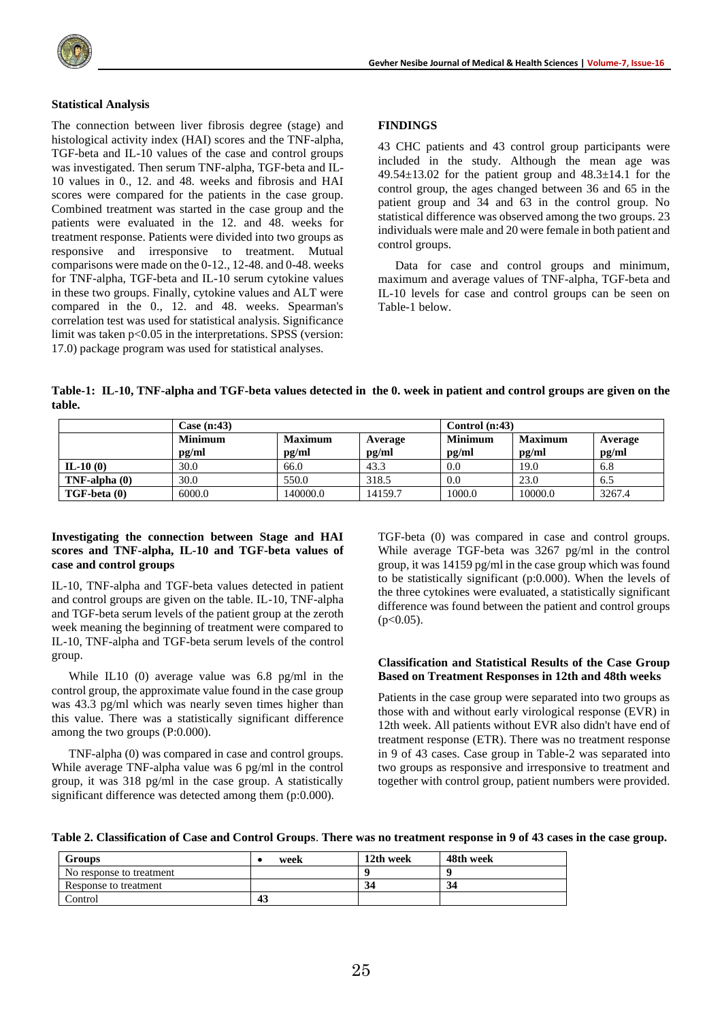

#### **Statistical Analysis**

The connection between liver fibrosis degree (stage) and histological activity index (HAI) scores and the TNF-alpha, TGF-beta and IL-10 values of the case and control groups was investigated. Then serum TNF-alpha, TGF-beta and IL-10 values in 0., 12. and 48. weeks and fibrosis and HAI scores were compared for the patients in the case group. Combined treatment was started in the case group and the patients were evaluated in the 12. and 48. weeks for treatment response. Patients were divided into two groups as responsive and irresponsive to treatment. Mutual comparisons were made on the 0-12., 12-48. and 0-48. weeks for TNF-alpha, TGF-beta and IL-10 serum cytokine values in these two groups. Finally, cytokine values and ALT were compared in the 0., 12. and 48. weeks. Spearman's correlation test was used for statistical analysis. Significance limit was taken p<0.05 in the interpretations. SPSS (version: 17.0) package program was used for statistical analyses.

### **FINDINGS**

43 CHC patients and 43 control group participants were included in the study. Although the mean age was 49.54 $\pm$ 13.02 for the patient group and 48.3 $\pm$ 14.1 for the control group, the ages changed between 36 and 65 in the patient group and 34 and 63 in the control group. No statistical difference was observed among the two groups. 23 individuals were male and 20 were female in both patient and control groups.

Data for case and control groups and minimum, maximum and average values of TNF-alpha, TGF-beta and IL-10 levels for case and control groups can be seen on Table-1 below.

**Table-1: IL-10, TNF-alpha and TGF-beta values detected in the 0. week in patient and control groups are given on the table.**

|                    | Case (n:43)    |                |         | Control $(n:43)$ |                |         |
|--------------------|----------------|----------------|---------|------------------|----------------|---------|
|                    | <b>Minimum</b> | <b>Maximum</b> | Average | <b>Minimum</b>   | <b>Maximum</b> | Average |
|                    | pg/ml          | pg/ml          | pg/ml   | pg/ml            | pg/ml          | pg/ml   |
| $IL-10(0)$         | 30.0           | 66.0           | 43.3    | 0.0              | 19.0           | 6.8     |
| $TNF$ -alpha $(0)$ | 30.0           | 550.0          | 318.5   | 0.0              | 23.0           | 6.5     |
| TGF-beta (0)       | 6000.0         | 140000.0       | 14159.7 | 1000.0           | 10000.0        | 3267.4  |

#### **Investigating the connection between Stage and HAI scores and TNF-alpha, IL-10 and TGF-beta values of case and control groups**

IL-10, TNF-alpha and TGF-beta values detected in patient and control groups are given on the table. IL-10, TNF-alpha and TGF-beta serum levels of the patient group at the zeroth week meaning the beginning of treatment were compared to IL-10, TNF-alpha and TGF-beta serum levels of the control group.

While IL10 (0) average value was 6.8 pg/ml in the control group, the approximate value found in the case group was 43.3 pg/ml which was nearly seven times higher than this value. There was a statistically significant difference among the two groups (P:0.000).

TNF-alpha (0) was compared in case and control groups. While average TNF-alpha value was 6 pg/ml in the control group, it was 318 pg/ml in the case group. A statistically significant difference was detected among them (p:0.000).

TGF-beta (0) was compared in case and control groups. While average TGF-beta was 3267 pg/ml in the control group, it was 14159 pg/ml in the case group which was found to be statistically significant (p:0.000). When the levels of the three cytokines were evaluated, a statistically significant difference was found between the patient and control groups  $(p<0.05)$ .

#### **Classification and Statistical Results of the Case Group Based on Treatment Responses in 12th and 48th weeks**

Patients in the case group were separated into two groups as those with and without early virological response (EVR) in 12th week. All patients without EVR also didn't have end of treatment response (ETR). There was no treatment response in 9 of 43 cases. Case group in Table-2 was separated into two groups as responsive and irresponsive to treatment and together with control group, patient numbers were provided.

**Table 2. Classification of Case and Control Groups**. **There was no treatment response in 9 of 43 cases in the case group.**

| <b>Groups</b>            | week | 12th week | 48th week |
|--------------------------|------|-----------|-----------|
| No response to treatment |      |           |           |
| Response to treatment    |      | 34        | 34        |
| Control                  | 43   |           |           |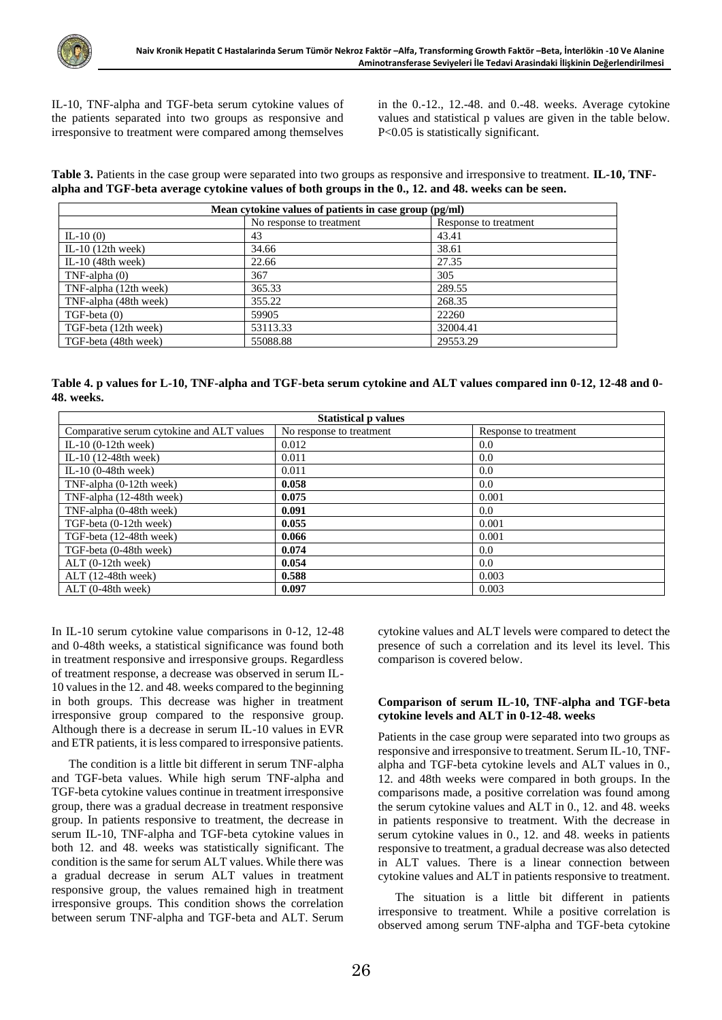IL-10, TNF-alpha and TGF-beta serum cytokine values of the patients separated into two groups as responsive and irresponsive to treatment were compared among themselves

in the 0.-12., 12.-48. and 0.-48. weeks. Average cytokine values and statistical p values are given in the table below. P<0.05 is statistically significant.

**Table 3.** Patients in the case group were separated into two groups as responsive and irresponsive to treatment. **IL-10, TNFalpha and TGF-beta average cytokine values of both groups in the 0., 12. and 48. weeks can be seen.**

| Mean cytokine values of patients in case group (pg/ml) |                          |                       |  |  |  |
|--------------------------------------------------------|--------------------------|-----------------------|--|--|--|
|                                                        | No response to treatment | Response to treatment |  |  |  |
| $IL-10(0)$                                             | 43                       | 43.41                 |  |  |  |
| IL-10 $(12th$ week)                                    | 34.66                    | 38.61                 |  |  |  |
| IL-10 $(48th$ week)                                    | 22.66                    | 27.35                 |  |  |  |
| $TNF$ -alpha $(0)$                                     | 367                      | 305                   |  |  |  |
| TNF-alpha (12th week)                                  | 365.33                   | 289.55                |  |  |  |
| TNF-alpha (48th week)                                  | 355.22                   | 268.35                |  |  |  |
| $TGF-beta(0)$                                          | 59905                    | 22260                 |  |  |  |
| TGF-beta (12th week)                                   | 53113.33                 | 32004.41              |  |  |  |
| TGF-beta (48th week)                                   | 55088.88                 | 29553.29              |  |  |  |

**Table 4. p values for L-10, TNF-alpha and TGF-beta serum cytokine and ALT values compared inn 0-12, 12-48 and 0- 48. weeks.**

| <b>Statistical p values</b>               |                          |                       |  |  |  |
|-------------------------------------------|--------------------------|-----------------------|--|--|--|
| Comparative serum cytokine and ALT values | No response to treatment | Response to treatment |  |  |  |
| IL-10 $(0-12$ th week)                    | 0.012                    | 0.0                   |  |  |  |
| IL-10 (12-48th week)                      | 0.011                    | 0.0                   |  |  |  |
| IL-10 $(0-48th$ week)                     | 0.011                    | 0.0                   |  |  |  |
| TNF-alpha (0-12th week)                   | 0.058                    | 0.0                   |  |  |  |
| TNF-alpha (12-48th week)                  | 0.075                    | 0.001                 |  |  |  |
| TNF-alpha (0-48th week)                   | 0.091                    | 0.0 <sub>1</sub>      |  |  |  |
| TGF-beta (0-12th week)                    | 0.055                    | 0.001                 |  |  |  |
| TGF-beta (12-48th week)                   | 0.066                    | 0.001                 |  |  |  |
| TGF-beta (0-48th week)                    | 0.074                    | 0.0                   |  |  |  |
| $ALT$ (0-12th week)                       | 0.054                    | 0.0                   |  |  |  |
| $ALT(12-48th week)$                       | 0.588                    | 0.003                 |  |  |  |
| $ALT$ (0-48th week)                       | 0.097                    | 0.003                 |  |  |  |

In IL-10 serum cytokine value comparisons in 0-12, 12-48 and 0-48th weeks, a statistical significance was found both in treatment responsive and irresponsive groups. Regardless of treatment response, a decrease was observed in serum IL-10 values in the 12. and 48. weeks compared to the beginning in both groups. This decrease was higher in treatment irresponsive group compared to the responsive group. Although there is a decrease in serum IL-10 values in EVR and ETR patients, it is less compared to irresponsive patients.

The condition is a little bit different in serum TNF-alpha and TGF-beta values. While high serum TNF-alpha and TGF-beta cytokine values continue in treatment irresponsive group, there was a gradual decrease in treatment responsive group. In patients responsive to treatment, the decrease in serum IL-10, TNF-alpha and TGF-beta cytokine values in both 12. and 48. weeks was statistically significant. The condition is the same for serum ALT values. While there was a gradual decrease in serum ALT values in treatment responsive group, the values remained high in treatment irresponsive groups. This condition shows the correlation between serum TNF-alpha and TGF-beta and ALT. Serum cytokine values and ALT levels were compared to detect the presence of such a correlation and its level its level. This comparison is covered below.

## **Comparison of serum IL-10, TNF-alpha and TGF-beta cytokine levels and ALT in 0-12-48. weeks**

Patients in the case group were separated into two groups as responsive and irresponsive to treatment. Serum IL-10, TNFalpha and TGF-beta cytokine levels and ALT values in 0., 12. and 48th weeks were compared in both groups. In the comparisons made, a positive correlation was found among the serum cytokine values and ALT in 0., 12. and 48. weeks in patients responsive to treatment. With the decrease in serum cytokine values in 0., 12. and 48. weeks in patients responsive to treatment, a gradual decrease was also detected in ALT values. There is a linear connection between cytokine values and ALT in patients responsive to treatment.

The situation is a little bit different in patients irresponsive to treatment. While a positive correlation is observed among serum TNF-alpha and TGF-beta cytokine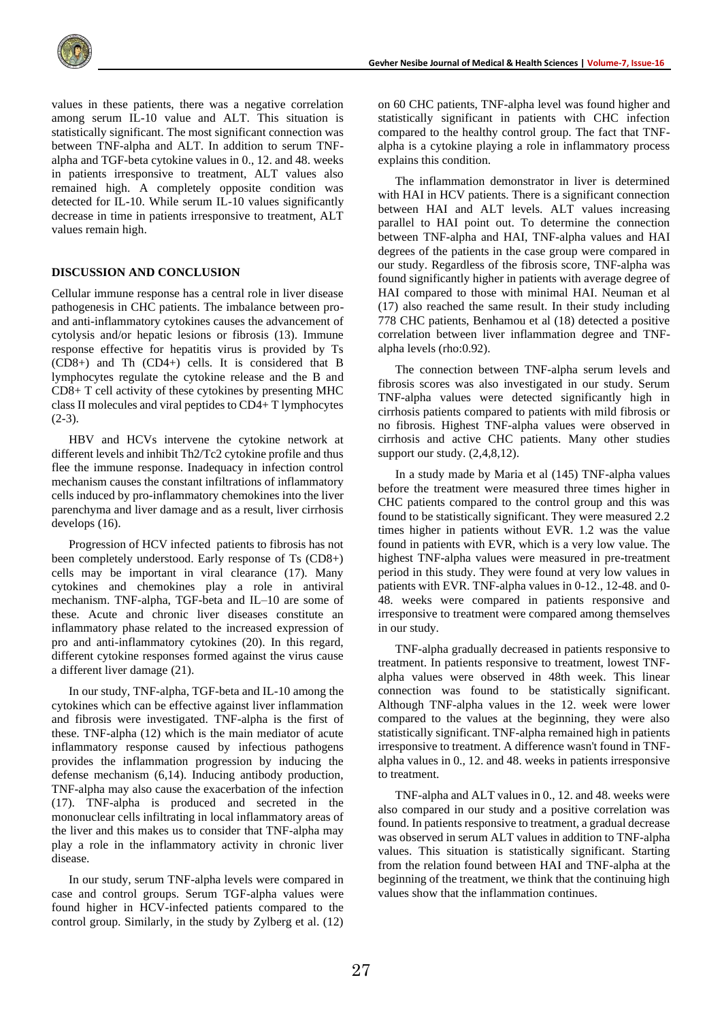

values in these patients, there was a negative correlation among serum IL-10 value and ALT. This situation is statistically significant. The most significant connection was between TNF-alpha and ALT. In addition to serum TNFalpha and TGF-beta cytokine values in 0., 12. and 48. weeks in patients irresponsive to treatment, ALT values also remained high. A completely opposite condition was detected for IL-10. While serum IL-10 values significantly decrease in time in patients irresponsive to treatment, ALT values remain high.

#### **DISCUSSION AND CONCLUSION**

Cellular immune response has a central role in liver disease pathogenesis in CHC patients. The imbalance between proand anti-inflammatory cytokines causes the advancement of cytolysis and/or hepatic lesions or fibrosis (13). Immune response effective for hepatitis virus is provided by Ts (CD8+) and Th (CD4+) cells. It is considered that B lymphocytes regulate the cytokine release and the B and CD8+ T cell activity of these cytokines by presenting MHC class II molecules and viral peptides to CD4+ T lymphocytes  $(2-3).$ 

HBV and HCVs intervene the cytokine network at different levels and inhibit Th2/Tc2 cytokine profile and thus flee the immune response. Inadequacy in infection control mechanism causes the constant infiltrations of inflammatory cells induced by pro-inflammatory chemokines into the liver parenchyma and liver damage and as a result, liver cirrhosis develops (16).

Progression of HCV infected patients to fibrosis has not been completely understood. Early response of Ts (CD8+) cells may be important in viral clearance (17). Many cytokines and chemokines play a role in antiviral mechanism. TNF-alpha, TGF-beta and IL–10 are some of these. Acute and chronic liver diseases constitute an inflammatory phase related to the increased expression of pro and anti-inflammatory cytokines (20). In this regard, different cytokine responses formed against the virus cause a different liver damage (21).

In our study, TNF-alpha, TGF-beta and IL-10 among the cytokines which can be effective against liver inflammation and fibrosis were investigated. TNF-alpha is the first of these. TNF-alpha (12) which is the main mediator of acute inflammatory response caused by infectious pathogens provides the inflammation progression by inducing the defense mechanism (6,14). Inducing antibody production, TNF-alpha may also cause the exacerbation of the infection (17). TNF-alpha is produced and secreted in the mononuclear cells infiltrating in local inflammatory areas of the liver and this makes us to consider that TNF-alpha may play a role in the inflammatory activity in chronic liver disease.

In our study, serum TNF-alpha levels were compared in case and control groups. Serum TGF-alpha values were found higher in HCV-infected patients compared to the control group. Similarly, in the study by Zylberg et al. (12) on 60 CHC patients, TNF-alpha level was found higher and statistically significant in patients with CHC infection compared to the healthy control group. The fact that TNFalpha is a cytokine playing a role in inflammatory process explains this condition.

The inflammation demonstrator in liver is determined with HAI in HCV patients. There is a significant connection between HAI and ALT levels. ALT values increasing parallel to HAI point out. To determine the connection between TNF-alpha and HAI, TNF-alpha values and HAI degrees of the patients in the case group were compared in our study. Regardless of the fibrosis score, TNF-alpha was found significantly higher in patients with average degree of HAI compared to those with minimal HAI. Neuman et al (17) also reached the same result. In their study including 778 CHC patients, Benhamou et al (18) detected a positive correlation between liver inflammation degree and TNFalpha levels (rho:0.92).

The connection between TNF-alpha serum levels and fibrosis scores was also investigated in our study. Serum TNF-alpha values were detected significantly high in cirrhosis patients compared to patients with mild fibrosis or no fibrosis. Highest TNF-alpha values were observed in cirrhosis and active CHC patients. Many other studies support our study.  $(2,4,8,12)$ .

In a study made by Maria et al (145) TNF-alpha values before the treatment were measured three times higher in CHC patients compared to the control group and this was found to be statistically significant. They were measured 2.2 times higher in patients without EVR. 1.2 was the value found in patients with EVR, which is a very low value. The highest TNF-alpha values were measured in pre-treatment period in this study. They were found at very low values in patients with EVR. TNF-alpha values in 0-12., 12-48. and 0- 48. weeks were compared in patients responsive and irresponsive to treatment were compared among themselves in our study.

TNF-alpha gradually decreased in patients responsive to treatment. In patients responsive to treatment, lowest TNFalpha values were observed in 48th week. This linear connection was found to be statistically significant. Although TNF-alpha values in the 12. week were lower compared to the values at the beginning, they were also statistically significant. TNF-alpha remained high in patients irresponsive to treatment. A difference wasn't found in TNFalpha values in 0., 12. and 48. weeks in patients irresponsive to treatment.

TNF-alpha and ALT values in 0., 12. and 48. weeks were also compared in our study and a positive correlation was found. In patients responsive to treatment, a gradual decrease was observed in serum ALT values in addition to TNF-alpha values. This situation is statistically significant. Starting from the relation found between HAI and TNF-alpha at the beginning of the treatment, we think that the continuing high values show that the inflammation continues.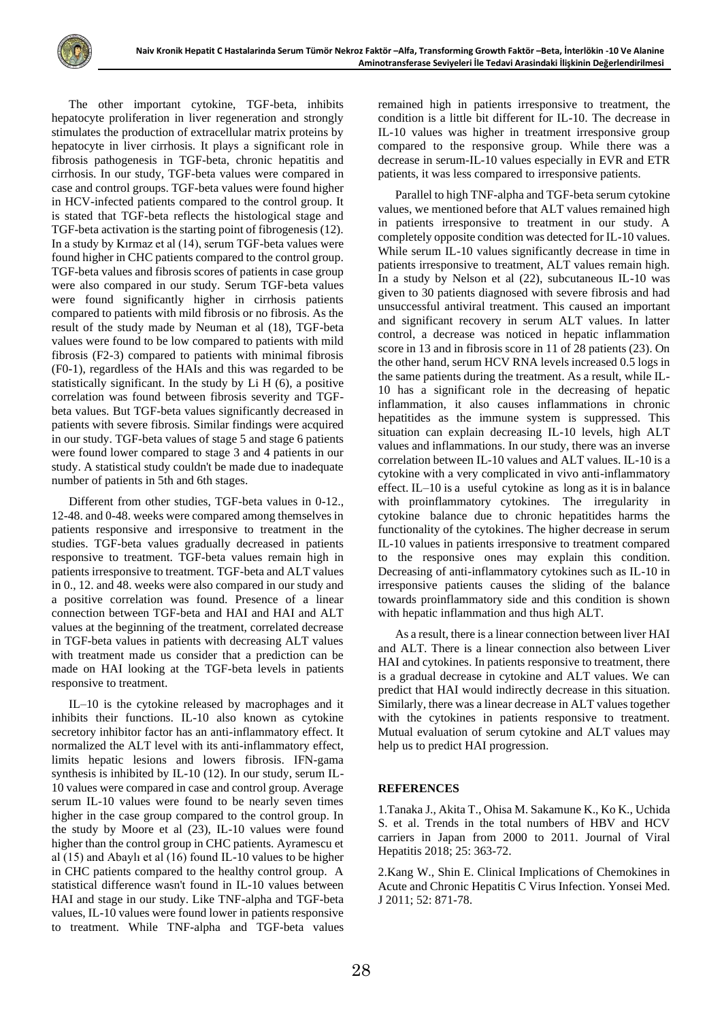The other important cytokine, TGF-beta, inhibits hepatocyte proliferation in liver regeneration and strongly stimulates the production of extracellular matrix proteins by hepatocyte in liver cirrhosis. It plays a significant role in fibrosis pathogenesis in TGF-beta, chronic hepatitis and cirrhosis. In our study, TGF-beta values were compared in case and control groups. TGF-beta values were found higher in HCV-infected patients compared to the control group. It is stated that TGF-beta reflects the histological stage and TGF-beta activation is the starting point of fibrogenesis (12). In a study by Kırmaz et al (14), serum TGF-beta values were found higher in CHC patients compared to the control group. TGF-beta values and fibrosis scores of patients in case group were also compared in our study. Serum TGF-beta values were found significantly higher in cirrhosis patients compared to patients with mild fibrosis or no fibrosis. As the result of the study made by Neuman et al (18), TGF-beta values were found to be low compared to patients with mild fibrosis (F2-3) compared to patients with minimal fibrosis (F0-1), regardless of the HAIs and this was regarded to be statistically significant. In the study by [Li](https://www.ncbi.nlm.nih.gov/pubmed/?term=Li%20H%5BAuthor%5D&cauthor=true&cauthor_uid=30598575) H (6), a positive correlation was found between fibrosis severity and TGFbeta values. But TGF-beta values significantly decreased in patients with severe fibrosis. Similar findings were acquired in our study. TGF-beta values of stage 5 and stage 6 patients were found lower compared to stage 3 and 4 patients in our study. A statistical study couldn't be made due to inadequate number of patients in 5th and 6th stages.

Different from other studies, TGF-beta values in 0-12., 12-48. and 0-48. weeks were compared among themselves in patients responsive and irresponsive to treatment in the studies. TGF-beta values gradually decreased in patients responsive to treatment. TGF-beta values remain high in patients irresponsive to treatment. TGF-beta and ALT values in 0., 12. and 48. weeks were also compared in our study and a positive correlation was found. Presence of a linear connection between TGF-beta and HAI and HAI and ALT values at the beginning of the treatment, correlated decrease in TGF-beta values in patients with decreasing ALT values with treatment made us consider that a prediction can be made on HAI looking at the TGF-beta levels in patients responsive to treatment.

IL–10 is the cytokine released by macrophages and it inhibits their functions. IL-10 also known as cytokine secretory inhibitor factor has an anti-inflammatory effect. It normalized the ALT level with its anti-inflammatory effect, limits hepatic lesions and lowers fibrosis. IFN-gama synthesis is inhibited by IL-10 (12). In our study, serum IL-10 values were compared in case and control group. Average serum IL-10 values were found to be nearly seven times higher in the case group compared to the control group. In the study by Moore et al (23), IL-10 values were found higher than the control group in CHC patients. Ayramescu et al (15) and Abaylı et al (16) found IL-10 values to be higher in CHC patients compared to the healthy control group. A statistical difference wasn't found in IL-10 values between HAI and stage in our study. Like TNF-alpha and TGF-beta values, IL-10 values were found lower in patients responsive to treatment. While TNF-alpha and TGF-beta values remained high in patients irresponsive to treatment, the condition is a little bit different for IL-10. The decrease in IL-10 values was higher in treatment irresponsive group compared to the responsive group. While there was a decrease in serum-IL-10 values especially in EVR and ETR patients, it was less compared to irresponsive patients.

Parallel to high TNF-alpha and TGF-beta serum cytokine values, we mentioned before that ALT values remained high in patients irresponsive to treatment in our study. A completely opposite condition was detected for IL-10 values. While serum IL-10 values significantly decrease in time in patients irresponsive to treatment, ALT values remain high. In a study by Nelson et al (22), subcutaneous IL-10 was given to 30 patients diagnosed with severe fibrosis and had unsuccessful antiviral treatment. This caused an important and significant recovery in serum ALT values. In latter control, a decrease was noticed in hepatic inflammation score in 13 and in fibrosis score in 11 of 28 patients (23). On the other hand, serum HCV RNA levels increased 0.5 logs in the same patients during the treatment. As a result, while IL-10 has a significant role in the decreasing of hepatic inflammation, it also causes inflammations in chronic hepatitides as the immune system is suppressed. This situation can explain decreasing IL-10 levels, high ALT values and inflammations. In our study, there was an inverse correlation between IL-10 values and ALT values. IL-10 is a cytokine with a very complicated in vivo anti-inflammatory effect. IL–10 is a useful cytokine as long as it is in balance with proinflammatory cytokines. The irregularity in cytokine balance due to chronic hepatitides harms the functionality of the cytokines. The higher decrease in serum IL-10 values in patients irresponsive to treatment compared to the responsive ones may explain this condition. Decreasing of anti-inflammatory cytokines such as IL-10 in irresponsive patients causes the sliding of the balance towards proinflammatory side and this condition is shown with hepatic inflammation and thus high ALT.

As a result, there is a linear connection between liver HAI and ALT. There is a linear connection also between Liver HAI and cytokines. In patients responsive to treatment, there is a gradual decrease in cytokine and ALT values. We can predict that HAI would indirectly decrease in this situation. Similarly, there was a linear decrease in ALT values together with the cytokines in patients responsive to treatment. Mutual evaluation of serum cytokine and ALT values may help us to predict HAI progression.

## **REFERENCES**

1[.Tanaka](https://onlinelibrary.wiley.com/action/doSearch?ContribAuthorStored=Tanaka,+J) J.[, Akita](https://onlinelibrary.wiley.com/action/doSearch?ContribAuthorStored=Akita,+T) T.[, Ohisa](https://onlinelibrary.wiley.com/action/doSearch?ContribAuthorStored=Ohisa,+M) M[. Sakamune](https://onlinelibrary.wiley.com/action/doSearch?ContribAuthorStored=Sakamune,+K) K., Ko K., Uchida S. et al. Trends in the total numbers of HBV and HCV carriers in Japan from 2000 to 2011. [Journal of Viral](https://app.dimensions.ai/discover/publication?and_facet_source_title=jour.1112430)  [Hepatitis](https://app.dimensions.ai/discover/publication?and_facet_source_title=jour.1112430) 2018; 25: 363-72.

2.Kang W., Shin E. Clinical Implications of Chemokines in Acute and Chronic Hepatitis C Virus Infection. Yonsei Med. J 2011; 52: 871-78.